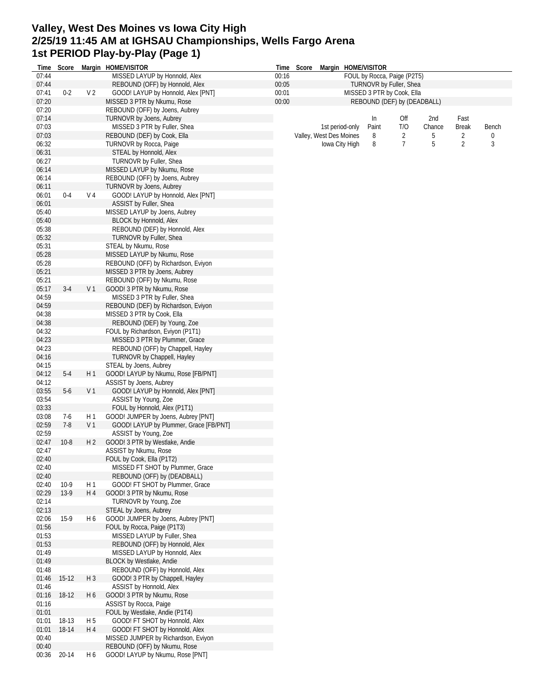#### **Valley, West Des Moines vs Iowa City High 2/25/19 11:45 AM at IGHSAU Championships, Wells Fargo Arena 1st PERIOD Play-by-Play (Page 1)**

| Time           | Score   |                | Margin HOME/VISITOR                                            |       | Time Score |                         |                 | Margin HOME/VISITOR         |                |        |              |       |
|----------------|---------|----------------|----------------------------------------------------------------|-------|------------|-------------------------|-----------------|-----------------------------|----------------|--------|--------------|-------|
| 07:44          |         |                | MISSED LAYUP by Honnold, Alex                                  | 00:16 |            |                         |                 | FOUL by Rocca, Paige (P2T5) |                |        |              |       |
| 07:44          |         |                | REBOUND (OFF) by Honnold, Alex                                 | 00:05 |            |                         |                 | TURNOVR by Fuller, Shea     |                |        |              |       |
| 07:41          | $0 - 2$ | V <sub>2</sub> | GOOD! LAYUP by Honnold, Alex [PNT]                             | 00:01 |            |                         |                 | MISSED 3 PTR by Cook, Ella  |                |        |              |       |
| 07:20          |         |                | MISSED 3 PTR by Nkumu, Rose                                    | 00:00 |            |                         |                 | REBOUND (DEF) by (DEADBALL) |                |        |              |       |
| 07:20          |         |                | REBOUND (OFF) by Joens, Aubrey                                 |       |            |                         |                 |                             |                |        |              |       |
| 07:14          |         |                | TURNOVR by Joens, Aubrey                                       |       |            |                         |                 | In                          | Off            | 2nd    | Fast         |       |
| 07:03          |         |                | MISSED 3 PTR by Fuller, Shea                                   |       |            |                         | 1st period-only | Paint                       | T/O            | Chance | <b>Break</b> | Bench |
| 07:03          |         |                | REBOUND (DEF) by Cook, Ella                                    |       |            | Valley, West Des Moines |                 | 8                           | 2              | 5      | 2            |       |
| 06:32          |         |                | <b>TURNOVR by Rocca, Paige</b>                                 |       |            |                         | Iowa City High  | 8                           | $\overline{7}$ | 5      | 2            | 3     |
| 06:31          |         |                | STEAL by Honnold, Alex                                         |       |            |                         |                 |                             |                |        |              |       |
| 06:27          |         |                | TURNOVR by Fuller, Shea                                        |       |            |                         |                 |                             |                |        |              |       |
| 06:14          |         |                | MISSED LAYUP by Nkumu, Rose                                    |       |            |                         |                 |                             |                |        |              |       |
| 06:14<br>06:11 |         |                | REBOUND (OFF) by Joens, Aubrey                                 |       |            |                         |                 |                             |                |        |              |       |
| 06:01          | $0 - 4$ | V <sub>4</sub> | TURNOVR by Joens, Aubrey<br>GOOD! LAYUP by Honnold, Alex [PNT] |       |            |                         |                 |                             |                |        |              |       |
| 06:01          |         |                | ASSIST by Fuller, Shea                                         |       |            |                         |                 |                             |                |        |              |       |
| 05:40          |         |                | MISSED LAYUP by Joens, Aubrey                                  |       |            |                         |                 |                             |                |        |              |       |
| 05:40          |         |                | BLOCK by Honnold, Alex                                         |       |            |                         |                 |                             |                |        |              |       |
| 05:38          |         |                | REBOUND (DEF) by Honnold, Alex                                 |       |            |                         |                 |                             |                |        |              |       |
| 05:32          |         |                | TURNOVR by Fuller, Shea                                        |       |            |                         |                 |                             |                |        |              |       |
| 05:31          |         |                | STEAL by Nkumu, Rose                                           |       |            |                         |                 |                             |                |        |              |       |
| 05:28          |         |                | MISSED LAYUP by Nkumu, Rose                                    |       |            |                         |                 |                             |                |        |              |       |
| 05:28          |         |                | REBOUND (OFF) by Richardson, Eviyon                            |       |            |                         |                 |                             |                |        |              |       |
| 05:21          |         |                | MISSED 3 PTR by Joens, Aubrey                                  |       |            |                         |                 |                             |                |        |              |       |
| 05:21          |         |                | REBOUND (OFF) by Nkumu, Rose                                   |       |            |                         |                 |                             |                |        |              |       |
| 05:17          | $3-4$   | V <sub>1</sub> | GOOD! 3 PTR by Nkumu, Rose                                     |       |            |                         |                 |                             |                |        |              |       |
| 04:59          |         |                | MISSED 3 PTR by Fuller, Shea                                   |       |            |                         |                 |                             |                |        |              |       |
| 04:59          |         |                | REBOUND (DEF) by Richardson, Eviyon                            |       |            |                         |                 |                             |                |        |              |       |
| 04:38          |         |                | MISSED 3 PTR by Cook, Ella                                     |       |            |                         |                 |                             |                |        |              |       |
| 04:38          |         |                | REBOUND (DEF) by Young, Zoe                                    |       |            |                         |                 |                             |                |        |              |       |
| 04:32          |         |                | FOUL by Richardson, Eviyon (P1T1)                              |       |            |                         |                 |                             |                |        |              |       |
| 04:23          |         |                | MISSED 3 PTR by Plummer, Grace                                 |       |            |                         |                 |                             |                |        |              |       |
| 04:23          |         |                | REBOUND (OFF) by Chappell, Hayley                              |       |            |                         |                 |                             |                |        |              |       |
| 04:16          |         |                | TURNOVR by Chappell, Hayley                                    |       |            |                         |                 |                             |                |        |              |       |
| 04:15          |         |                | STEAL by Joens, Aubrey                                         |       |            |                         |                 |                             |                |        |              |       |
| 04:12          | $5-4$   | H1             | GOOD! LAYUP by Nkumu, Rose [FB/PNT]                            |       |            |                         |                 |                             |                |        |              |       |
| 04:12          |         |                | ASSIST by Joens, Aubrey                                        |       |            |                         |                 |                             |                |        |              |       |
| 03:55          | $5-6$   | V <sub>1</sub> | GOOD! LAYUP by Honnold, Alex [PNT]                             |       |            |                         |                 |                             |                |        |              |       |
| 03:54          |         |                | ASSIST by Young, Zoe                                           |       |            |                         |                 |                             |                |        |              |       |
| 03:33          |         |                | FOUL by Honnold, Alex (P1T1)                                   |       |            |                         |                 |                             |                |        |              |       |
| 03:08          | 7-6     | H1             | GOOD! JUMPER by Joens, Aubrey [PNT]                            |       |            |                         |                 |                             |                |        |              |       |
| 02:59          | $7-8$   | V <sub>1</sub> | GOOD! LAYUP by Plummer, Grace [FB/PNT]                         |       |            |                         |                 |                             |                |        |              |       |
| 02:59          |         |                | ASSIST by Young, Zoe                                           |       |            |                         |                 |                             |                |        |              |       |
| 02:47          | $10-8$  | H <sub>2</sub> | GOOD! 3 PTR by Westlake, Andie                                 |       |            |                         |                 |                             |                |        |              |       |
| 02:47          |         |                | ASSIST by Nkumu, Rose                                          |       |            |                         |                 |                             |                |        |              |       |
| 02:40          |         |                | FOUL by Cook, Ella (P1T2)                                      |       |            |                         |                 |                             |                |        |              |       |
| 02:40          |         |                | MISSED FT SHOT by Plummer, Grace                               |       |            |                         |                 |                             |                |        |              |       |
| 02:40          |         |                | REBOUND (OFF) by (DEADBALL)                                    |       |            |                         |                 |                             |                |        |              |       |
| 02:40          | $10-9$  | H 1            | GOOD! FT SHOT by Plummer, Grace                                |       |            |                         |                 |                             |                |        |              |       |
| 02:29          | $13-9$  | H 4            | GOOD! 3 PTR by Nkumu, Rose                                     |       |            |                         |                 |                             |                |        |              |       |
| 02:14          |         |                | TURNOVR by Young, Zoe                                          |       |            |                         |                 |                             |                |        |              |       |
| 02:13          |         |                | STEAL by Joens, Aubrey                                         |       |            |                         |                 |                             |                |        |              |       |
| 02:06          | $15-9$  | H 6            | GOOD! JUMPER by Joens, Aubrey [PNT]                            |       |            |                         |                 |                             |                |        |              |       |
| 01:56          |         |                | FOUL by Rocca, Paige (P1T3)                                    |       |            |                         |                 |                             |                |        |              |       |
| 01:53          |         |                | MISSED LAYUP by Fuller, Shea                                   |       |            |                         |                 |                             |                |        |              |       |
| 01:53          |         |                | REBOUND (OFF) by Honnold, Alex                                 |       |            |                         |                 |                             |                |        |              |       |
| 01:49          |         |                | MISSED LAYUP by Honnold, Alex                                  |       |            |                         |                 |                             |                |        |              |       |
| 01:49          |         |                | BLOCK by Westlake, Andie                                       |       |            |                         |                 |                             |                |        |              |       |
| 01:48          |         |                | REBOUND (OFF) by Honnold, Alex                                 |       |            |                         |                 |                             |                |        |              |       |
| 01:46          | $15-12$ | $H_3$          | GOOD! 3 PTR by Chappell, Hayley                                |       |            |                         |                 |                             |                |        |              |       |
| 01:46          |         |                | ASSIST by Honnold, Alex                                        |       |            |                         |                 |                             |                |        |              |       |
| 01:16          | 18-12   | H 6            | GOOD! 3 PTR by Nkumu, Rose                                     |       |            |                         |                 |                             |                |        |              |       |
| 01:16          |         |                | ASSIST by Rocca, Paige                                         |       |            |                         |                 |                             |                |        |              |       |
| 01:01          |         |                | FOUL by Westlake, Andie (P1T4)                                 |       |            |                         |                 |                             |                |        |              |       |
| 01:01          | 18-13   | H <sub>5</sub> | GOOD! FT SHOT by Honnold, Alex                                 |       |            |                         |                 |                             |                |        |              |       |
| 01:01          | 18-14   | H 4            | GOOD! FT SHOT by Honnold, Alex                                 |       |            |                         |                 |                             |                |        |              |       |
| 00:40          |         |                | MISSED JUMPER by Richardson, Eviyon                            |       |            |                         |                 |                             |                |        |              |       |
| 00:40          |         |                | REBOUND (OFF) by Nkumu, Rose                                   |       |            |                         |                 |                             |                |        |              |       |
| 00:36          | 20-14   | H 6            | GOOD! LAYUP by Nkumu, Rose [PNT]                               |       |            |                         |                 |                             |                |        |              |       |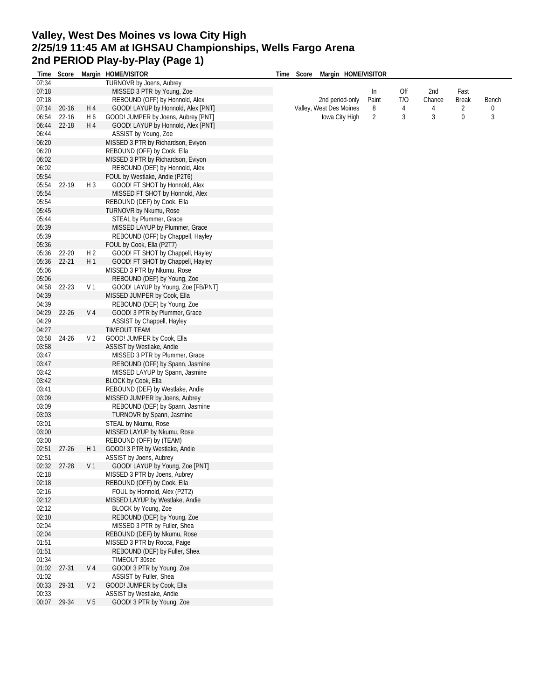### **Valley, West Des Moines vs Iowa City High 2/25/19 11:45 AM at IGHSAU Championships, Wells Fargo Arena 2nd PERIOD Play-by-Play (Page 1)**

| Time        |           |                | Score Margin HOME/VISITOR           | Time Score | Margin HOME/VISITOR     |                |     |        |              |       |
|-------------|-----------|----------------|-------------------------------------|------------|-------------------------|----------------|-----|--------|--------------|-------|
| 07:34       |           |                | TURNOVR by Joens, Aubrey            |            |                         |                |     |        |              |       |
| 07:18       |           |                | MISSED 3 PTR by Young, Zoe          |            |                         | In             | Off | 2nd    | Fast         |       |
| 07:18       |           |                | REBOUND (OFF) by Honnold, Alex      |            | 2nd period-only         | Paint          | T/O | Chance | <b>Break</b> | Bench |
| 07:14       | $20 - 16$ | H 4            | GOOD! LAYUP by Honnold, Alex [PNT]  |            | Valley, West Des Moines | 8              | 4   | 4      | 2            | 0     |
| 06:54       | $22 - 16$ | H 6            | GOOD! JUMPER by Joens, Aubrey [PNT] |            | lowa City High          | $\overline{2}$ | 3   | 3      | 0            | 3     |
| 06:44       | $22 - 18$ | H 4            | GOOD! LAYUP by Honnold, Alex [PNT]  |            |                         |                |     |        |              |       |
| 06:44       |           |                | ASSIST by Young, Zoe                |            |                         |                |     |        |              |       |
| 06:20       |           |                | MISSED 3 PTR by Richardson, Eviyon  |            |                         |                |     |        |              |       |
| 06:20       |           |                | REBOUND (OFF) by Cook, Ella         |            |                         |                |     |        |              |       |
| 06:02       |           |                | MISSED 3 PTR by Richardson, Eviyon  |            |                         |                |     |        |              |       |
| 06:02       |           |                | REBOUND (DEF) by Honnold, Alex      |            |                         |                |     |        |              |       |
| 05:54       |           |                | FOUL by Westlake, Andie (P2T6)      |            |                         |                |     |        |              |       |
| 05:54       | 22-19     | $H_3$          | GOOD! FT SHOT by Honnold, Alex      |            |                         |                |     |        |              |       |
| 05:54       |           |                | MISSED FT SHOT by Honnold, Alex     |            |                         |                |     |        |              |       |
| 05:54       |           |                | REBOUND (DEF) by Cook, Ella         |            |                         |                |     |        |              |       |
| 05:45       |           |                | TURNOVR by Nkumu, Rose              |            |                         |                |     |        |              |       |
| 05:44       |           |                | STEAL by Plummer, Grace             |            |                         |                |     |        |              |       |
| 05:39       |           |                | MISSED LAYUP by Plummer, Grace      |            |                         |                |     |        |              |       |
| 05:39       |           |                | REBOUND (OFF) by Chappell, Hayley   |            |                         |                |     |        |              |       |
| 05:36       |           |                | FOUL by Cook, Ella (P2T7)           |            |                         |                |     |        |              |       |
| 05:36       | 22-20     | H <sub>2</sub> | GOOD! FT SHOT by Chappell, Hayley   |            |                         |                |     |        |              |       |
| 05:36       | $22 - 21$ | H1             | GOOD! FT SHOT by Chappell, Hayley   |            |                         |                |     |        |              |       |
| 05:06       |           |                | MISSED 3 PTR by Nkumu, Rose         |            |                         |                |     |        |              |       |
| 05:06       |           |                | REBOUND (DEF) by Young, Zoe         |            |                         |                |     |        |              |       |
| 04:58       | 22-23     | V <sub>1</sub> | GOOD! LAYUP by Young, Zoe [FB/PNT]  |            |                         |                |     |        |              |       |
| 04:39       |           |                | MISSED JUMPER by Cook, Ella         |            |                         |                |     |        |              |       |
| 04:39       |           |                | REBOUND (DEF) by Young, Zoe         |            |                         |                |     |        |              |       |
| 04:29       | $22 - 26$ | V <sub>4</sub> | GOOD! 3 PTR by Plummer, Grace       |            |                         |                |     |        |              |       |
| 04:29       |           |                | ASSIST by Chappell, Hayley          |            |                         |                |     |        |              |       |
| 04:27       |           |                | TIMEOUT TEAM                        |            |                         |                |     |        |              |       |
| 03:58       | 24-26     | V <sub>2</sub> | GOOD! JUMPER by Cook, Ella          |            |                         |                |     |        |              |       |
| 03:58       |           |                | ASSIST by Westlake, Andie           |            |                         |                |     |        |              |       |
| 03:47       |           |                | MISSED 3 PTR by Plummer, Grace      |            |                         |                |     |        |              |       |
| 03:47       |           |                | REBOUND (OFF) by Spann, Jasmine     |            |                         |                |     |        |              |       |
| 03:42       |           |                | MISSED LAYUP by Spann, Jasmine      |            |                         |                |     |        |              |       |
| 03:42       |           |                | BLOCK by Cook, Ella                 |            |                         |                |     |        |              |       |
| 03:41       |           |                | REBOUND (DEF) by Westlake, Andie    |            |                         |                |     |        |              |       |
| 03:09       |           |                | MISSED JUMPER by Joens, Aubrey      |            |                         |                |     |        |              |       |
| 03:09       |           |                | REBOUND (DEF) by Spann, Jasmine     |            |                         |                |     |        |              |       |
| 03:03       |           |                | TURNOVR by Spann, Jasmine           |            |                         |                |     |        |              |       |
| 03:01       |           |                | STEAL by Nkumu, Rose                |            |                         |                |     |        |              |       |
| 03:00       |           |                | MISSED LAYUP by Nkumu, Rose         |            |                         |                |     |        |              |       |
| 03:00       |           |                | REBOUND (OFF) by (TEAM)             |            |                         |                |     |        |              |       |
| 02:51       | $27 - 26$ | H1             | GOOD! 3 PTR by Westlake, Andie      |            |                         |                |     |        |              |       |
| 02:51       |           |                | ASSIST by Joens, Aubrey             |            |                         |                |     |        |              |       |
| 02:32 27-28 |           | V <sub>1</sub> | GOOD! LAYUP by Young, Zoe [PNT]     |            |                         |                |     |        |              |       |
| 02:18       |           |                | MISSED 3 PTR by Joens, Aubrey       |            |                         |                |     |        |              |       |
| 02:18       |           |                | REBOUND (OFF) by Cook, Ella         |            |                         |                |     |        |              |       |
| 02:16       |           |                | FOUL by Honnold, Alex (P2T2)        |            |                         |                |     |        |              |       |
| 02:12       |           |                | MISSED LAYUP by Westlake, Andie     |            |                         |                |     |        |              |       |
| 02:12       |           |                | BLOCK by Young, Zoe                 |            |                         |                |     |        |              |       |
| 02:10       |           |                | REBOUND (DEF) by Young, Zoe         |            |                         |                |     |        |              |       |
| 02:04       |           |                | MISSED 3 PTR by Fuller, Shea        |            |                         |                |     |        |              |       |
| 02:04       |           |                | REBOUND (DEF) by Nkumu, Rose        |            |                         |                |     |        |              |       |
| 01:51       |           |                | MISSED 3 PTR by Rocca, Paige        |            |                         |                |     |        |              |       |
| 01:51       |           |                | REBOUND (DEF) by Fuller, Shea       |            |                         |                |     |        |              |       |
| 01:34       |           |                | TIMEOUT 30sec                       |            |                         |                |     |        |              |       |
| 01:02       | $27 - 31$ | V <sub>4</sub> | GOOD! 3 PTR by Young, Zoe           |            |                         |                |     |        |              |       |
| 01:02       |           |                | ASSIST by Fuller, Shea              |            |                         |                |     |        |              |       |
| 00:33       | 29-31     | V <sub>2</sub> | GOOD! JUMPER by Cook, Ella          |            |                         |                |     |        |              |       |
| 00:33       |           |                | ASSIST by Westlake, Andie           |            |                         |                |     |        |              |       |
| 00:07       | 29-34     | V <sub>5</sub> | GOOD! 3 PTR by Young, Zoe           |            |                         |                |     |        |              |       |
|             |           |                |                                     |            |                         |                |     |        |              |       |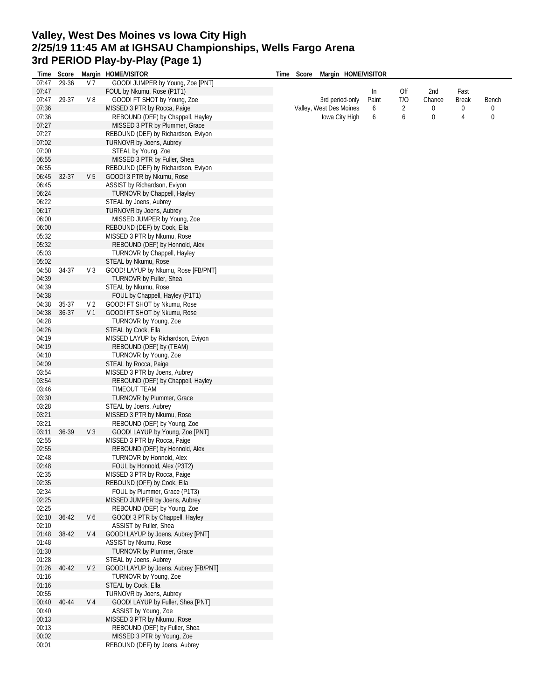# **Valley, West Des Moines vs Iowa City High 2/25/19 11:45 AM at IGHSAU Championships, Wells Fargo Arena 3rd PERIOD Play-by-Play (Page 1)**

| Time  | Score     |                | Margin HOME/VISITOR                   | Time | Score |                         | Margin HOME/VISITOR |                |          |              |       |
|-------|-----------|----------------|---------------------------------------|------|-------|-------------------------|---------------------|----------------|----------|--------------|-------|
| 07:47 | 29-36     | V <sub>7</sub> | GOOD! JUMPER by Young, Zoe [PNT]      |      |       |                         |                     |                |          |              |       |
| 07:47 |           |                | FOUL by Nkumu, Rose (P1T1)            |      |       |                         | In                  | Off            | 2nd      | Fast         |       |
| 07:47 | 29-37     | V8             | GOOD! FT SHOT by Young, Zoe           |      |       | 3rd period-only         | Paint               | T/O            | Chance   | <b>Break</b> | Bench |
| 07:36 |           |                | MISSED 3 PTR by Rocca, Paige          |      |       | Valley, West Des Moines | 6                   | $\overline{2}$ | 0        | 0            | 0     |
| 07:36 |           |                | REBOUND (DEF) by Chappell, Hayley     |      |       | Iowa City High          | 6                   | 6              | $\bf{0}$ | 4            | 0     |
| 07:27 |           |                | MISSED 3 PTR by Plummer, Grace        |      |       |                         |                     |                |          |              |       |
| 07:27 |           |                | REBOUND (DEF) by Richardson, Eviyon   |      |       |                         |                     |                |          |              |       |
| 07:02 |           |                |                                       |      |       |                         |                     |                |          |              |       |
|       |           |                | TURNOVR by Joens, Aubrey              |      |       |                         |                     |                |          |              |       |
| 07:00 |           |                | STEAL by Young, Zoe                   |      |       |                         |                     |                |          |              |       |
| 06:55 |           |                | MISSED 3 PTR by Fuller, Shea          |      |       |                         |                     |                |          |              |       |
| 06:55 |           |                | REBOUND (DEF) by Richardson, Eviyon   |      |       |                         |                     |                |          |              |       |
| 06:45 | 32-37     | V <sub>5</sub> | GOOD! 3 PTR by Nkumu, Rose            |      |       |                         |                     |                |          |              |       |
| 06:45 |           |                | ASSIST by Richardson, Eviyon          |      |       |                         |                     |                |          |              |       |
| 06:24 |           |                | TURNOVR by Chappell, Hayley           |      |       |                         |                     |                |          |              |       |
| 06:22 |           |                | STEAL by Joens, Aubrey                |      |       |                         |                     |                |          |              |       |
| 06:17 |           |                | <b>TURNOVR by Joens, Aubrey</b>       |      |       |                         |                     |                |          |              |       |
| 06:00 |           |                | MISSED JUMPER by Young, Zoe           |      |       |                         |                     |                |          |              |       |
| 06:00 |           |                | REBOUND (DEF) by Cook, Ella           |      |       |                         |                     |                |          |              |       |
| 05:32 |           |                | MISSED 3 PTR by Nkumu, Rose           |      |       |                         |                     |                |          |              |       |
| 05:32 |           |                | REBOUND (DEF) by Honnold, Alex        |      |       |                         |                     |                |          |              |       |
| 05:03 |           |                | TURNOVR by Chappell, Hayley           |      |       |                         |                     |                |          |              |       |
| 05:02 |           |                | STEAL by Nkumu, Rose                  |      |       |                         |                     |                |          |              |       |
| 04:58 | 34-37     | V <sub>3</sub> | GOOD! LAYUP by Nkumu, Rose [FB/PNT]   |      |       |                         |                     |                |          |              |       |
|       |           |                |                                       |      |       |                         |                     |                |          |              |       |
| 04:39 |           |                | TURNOVR by Fuller, Shea               |      |       |                         |                     |                |          |              |       |
| 04:39 |           |                | STEAL by Nkumu, Rose                  |      |       |                         |                     |                |          |              |       |
| 04:38 |           |                | FOUL by Chappell, Hayley (P1T1)       |      |       |                         |                     |                |          |              |       |
| 04:38 | 35-37     | V 2            | GOOD! FT SHOT by Nkumu, Rose          |      |       |                         |                     |                |          |              |       |
| 04:38 | 36-37     | V <sub>1</sub> | GOOD! FT SHOT by Nkumu, Rose          |      |       |                         |                     |                |          |              |       |
| 04:28 |           |                | TURNOVR by Young, Zoe                 |      |       |                         |                     |                |          |              |       |
| 04:26 |           |                | STEAL by Cook, Ella                   |      |       |                         |                     |                |          |              |       |
| 04:19 |           |                | MISSED LAYUP by Richardson, Eviyon    |      |       |                         |                     |                |          |              |       |
| 04:19 |           |                | REBOUND (DEF) by (TEAM)               |      |       |                         |                     |                |          |              |       |
| 04:10 |           |                | TURNOVR by Young, Zoe                 |      |       |                         |                     |                |          |              |       |
| 04:09 |           |                | STEAL by Rocca, Paige                 |      |       |                         |                     |                |          |              |       |
| 03:54 |           |                | MISSED 3 PTR by Joens, Aubrey         |      |       |                         |                     |                |          |              |       |
| 03:54 |           |                | REBOUND (DEF) by Chappell, Hayley     |      |       |                         |                     |                |          |              |       |
| 03:46 |           |                | TIMEOUT TEAM                          |      |       |                         |                     |                |          |              |       |
|       |           |                |                                       |      |       |                         |                     |                |          |              |       |
| 03:30 |           |                | TURNOVR by Plummer, Grace             |      |       |                         |                     |                |          |              |       |
| 03:28 |           |                | STEAL by Joens, Aubrey                |      |       |                         |                     |                |          |              |       |
| 03:21 |           |                | MISSED 3 PTR by Nkumu, Rose           |      |       |                         |                     |                |          |              |       |
| 03:21 |           |                | REBOUND (DEF) by Young, Zoe           |      |       |                         |                     |                |          |              |       |
| 03:11 | 36-39     | V <sub>3</sub> | GOOD! LAYUP by Young, Zoe [PNT]       |      |       |                         |                     |                |          |              |       |
| 02:55 |           |                | MISSED 3 PTR by Rocca, Paige          |      |       |                         |                     |                |          |              |       |
| 02:55 |           |                | REBOUND (DEF) by Honnold, Alex        |      |       |                         |                     |                |          |              |       |
| 02:48 |           |                | TURNOVR by Honnold, Alex              |      |       |                         |                     |                |          |              |       |
| 02:48 |           |                | FOUL by Honnold, Alex (P3T2)          |      |       |                         |                     |                |          |              |       |
| 02:35 |           |                | MISSED 3 PTR by Rocca, Paige          |      |       |                         |                     |                |          |              |       |
| 02:35 |           |                | REBOUND (OFF) by Cook, Ella           |      |       |                         |                     |                |          |              |       |
| 02:34 |           |                | FOUL by Plummer, Grace (P1T3)         |      |       |                         |                     |                |          |              |       |
| 02:25 |           |                | MISSED JUMPER by Joens, Aubrey        |      |       |                         |                     |                |          |              |       |
| 02:25 |           |                | REBOUND (DEF) by Young, Zoe           |      |       |                         |                     |                |          |              |       |
| 02:10 | $36 - 42$ | V6             | GOOD! 3 PTR by Chappell, Hayley       |      |       |                         |                     |                |          |              |       |
|       |           |                |                                       |      |       |                         |                     |                |          |              |       |
| 02:10 |           |                | ASSIST by Fuller, Shea                |      |       |                         |                     |                |          |              |       |
| 01:48 | 38-42     | V <sub>4</sub> | GOOD! LAYUP by Joens, Aubrey [PNT]    |      |       |                         |                     |                |          |              |       |
| 01:48 |           |                | ASSIST by Nkumu, Rose                 |      |       |                         |                     |                |          |              |       |
| 01:30 |           |                | TURNOVR by Plummer, Grace             |      |       |                         |                     |                |          |              |       |
| 01:28 |           |                | STEAL by Joens, Aubrey                |      |       |                         |                     |                |          |              |       |
| 01:26 | 40-42     | V <sub>2</sub> | GOOD! LAYUP by Joens, Aubrey [FB/PNT] |      |       |                         |                     |                |          |              |       |
| 01:16 |           |                | TURNOVR by Young, Zoe                 |      |       |                         |                     |                |          |              |       |
| 01:16 |           |                | STEAL by Cook, Ella                   |      |       |                         |                     |                |          |              |       |
| 00:55 |           |                | TURNOVR by Joens, Aubrey              |      |       |                         |                     |                |          |              |       |
| 00:40 | 40-44     | V 4            | GOOD! LAYUP by Fuller, Shea [PNT]     |      |       |                         |                     |                |          |              |       |
| 00:40 |           |                | ASSIST by Young, Zoe                  |      |       |                         |                     |                |          |              |       |
| 00:13 |           |                | MISSED 3 PTR by Nkumu, Rose           |      |       |                         |                     |                |          |              |       |
| 00:13 |           |                | REBOUND (DEF) by Fuller, Shea         |      |       |                         |                     |                |          |              |       |
| 00:02 |           |                | MISSED 3 PTR by Young, Zoe            |      |       |                         |                     |                |          |              |       |
|       |           |                |                                       |      |       |                         |                     |                |          |              |       |
| 00:01 |           |                | REBOUND (DEF) by Joens, Aubrey        |      |       |                         |                     |                |          |              |       |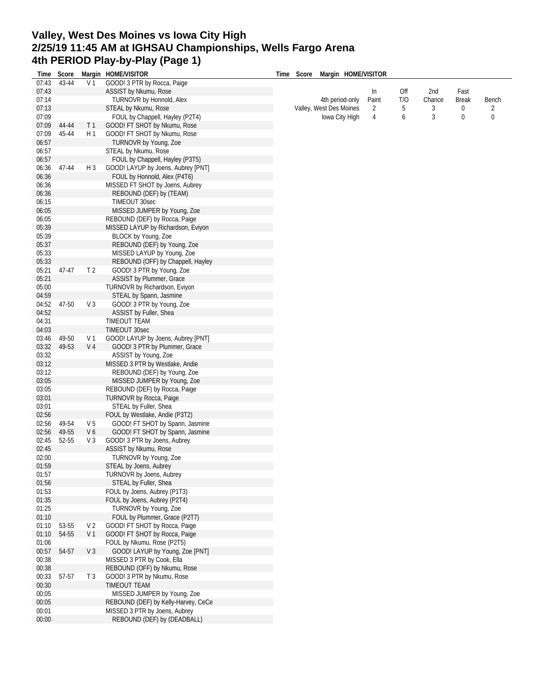# **Valley, West Des Moines vs Iowa City High 2/25/19 11:45 AM at IGHSAU Championships, Wells Fargo Arena 4th PERIOD Play-by-Play (Page 1)**

| Time           | Score |                | Margin HOME/VISITOR                                           | Time | Score | Margin HOME/VISITOR     |       |     |        |              |       |
|----------------|-------|----------------|---------------------------------------------------------------|------|-------|-------------------------|-------|-----|--------|--------------|-------|
| 07:43          | 43-44 | V <sub>1</sub> | GOOD! 3 PTR by Rocca, Paige                                   |      |       |                         |       |     |        |              |       |
| 07:43          |       |                | ASSIST by Nkumu, Rose                                         |      |       |                         | In    | Off | 2nd    | Fast         |       |
| 07:14          |       |                | TURNOVR by Honnold, Alex                                      |      |       | 4th period-only         | Paint | T/O | Chance | <b>Break</b> | Bench |
| 07:13          |       |                | STEAL by Nkumu, Rose                                          |      |       | Valley, West Des Moines | 2     | 5   | 3      | 0            | 2     |
| 07:09          |       |                | FOUL by Chappell, Hayley (P2T4)                               |      |       | Iowa City High          | 4     | 6   | 3      | 0            | 0     |
| 07:09          | 44-44 | T <sub>1</sub> | GOOD! FT SHOT by Nkumu, Rose                                  |      |       |                         |       |     |        |              |       |
| 07:09          | 45-44 | H <sub>1</sub> | GOOD! FT SHOT by Nkumu, Rose                                  |      |       |                         |       |     |        |              |       |
| 06:57          |       |                | TURNOVR by Young, Zoe                                         |      |       |                         |       |     |        |              |       |
| 06:57          |       |                | STEAL by Nkumu, Rose                                          |      |       |                         |       |     |        |              |       |
| 06:57          |       |                | FOUL by Chappell, Hayley (P3T5)                               |      |       |                         |       |     |        |              |       |
| 06:36          | 47-44 | H 3            | GOOD! LAYUP by Joens, Aubrey [PNT]                            |      |       |                         |       |     |        |              |       |
| 06:36          |       |                | FOUL by Honnold, Alex (P4T6)                                  |      |       |                         |       |     |        |              |       |
| 06:36          |       |                | MISSED FT SHOT by Joens, Aubrey                               |      |       |                         |       |     |        |              |       |
| 06:36          |       |                | REBOUND (DEF) by (TEAM)                                       |      |       |                         |       |     |        |              |       |
| 06:15          |       |                | TIMEOUT 30sec                                                 |      |       |                         |       |     |        |              |       |
| 06:05          |       |                | MISSED JUMPER by Young, Zoe                                   |      |       |                         |       |     |        |              |       |
| 06:05          |       |                | REBOUND (DEF) by Rocca, Paige                                 |      |       |                         |       |     |        |              |       |
| 05:39          |       |                | MISSED LAYUP by Richardson, Eviyon                            |      |       |                         |       |     |        |              |       |
| 05:39          |       |                | BLOCK by Young, Zoe                                           |      |       |                         |       |     |        |              |       |
| 05:37          |       |                | REBOUND (DEF) by Young, Zoe                                   |      |       |                         |       |     |        |              |       |
| 05:33          |       |                | MISSED LAYUP by Young, Zoe                                    |      |       |                         |       |     |        |              |       |
| 05:33          |       |                | REBOUND (OFF) by Chappell, Hayley                             |      |       |                         |       |     |        |              |       |
| 05:21          | 47-47 | T <sub>2</sub> | GOOD! 3 PTR by Young, Zoe                                     |      |       |                         |       |     |        |              |       |
| 05:21          |       |                | ASSIST by Plummer, Grace                                      |      |       |                         |       |     |        |              |       |
| 05:00          |       |                | TURNOVR by Richardson, Eviyon                                 |      |       |                         |       |     |        |              |       |
| 04:59          |       |                | STEAL by Spann, Jasmine                                       |      |       |                         |       |     |        |              |       |
| 04:52          | 47-50 | V <sub>3</sub> | GOOD! 3 PTR by Young, Zoe                                     |      |       |                         |       |     |        |              |       |
| 04:52          |       |                | ASSIST by Fuller, Shea                                        |      |       |                         |       |     |        |              |       |
| 04:31          |       |                | TIMEOUT TEAM                                                  |      |       |                         |       |     |        |              |       |
| 04:03          |       |                | <b>TIMEOUT 30sec</b>                                          |      |       |                         |       |     |        |              |       |
| 03:46          | 49-50 | V <sub>1</sub> | GOOD! LAYUP by Joens, Aubrey [PNT]                            |      |       |                         |       |     |        |              |       |
| 03:32          | 49-53 | V <sub>4</sub> | GOOD! 3 PTR by Plummer, Grace                                 |      |       |                         |       |     |        |              |       |
| 03:32          |       |                | ASSIST by Young, Zoe                                          |      |       |                         |       |     |        |              |       |
| 03:12          |       |                | MISSED 3 PTR by Westlake, Andie                               |      |       |                         |       |     |        |              |       |
| 03:12          |       |                | REBOUND (DEF) by Young, Zoe                                   |      |       |                         |       |     |        |              |       |
| 03:05          |       |                | MISSED JUMPER by Young, Zoe                                   |      |       |                         |       |     |        |              |       |
| 03:05          |       |                | REBOUND (DEF) by Rocca, Paige                                 |      |       |                         |       |     |        |              |       |
| 03:01          |       |                | TURNOVR by Rocca, Paige                                       |      |       |                         |       |     |        |              |       |
| 03:01          |       |                | STEAL by Fuller, Shea                                         |      |       |                         |       |     |        |              |       |
| 02:56          |       |                | FOUL by Westlake, Andie (P3T2)                                |      |       |                         |       |     |        |              |       |
| 02:56          | 49-54 | V 5            | GOOD! FT SHOT by Spann, Jasmine                               |      |       |                         |       |     |        |              |       |
| 02:56          | 49-55 | V6             | GOOD! FT SHOT by Spann, Jasmine                               |      |       |                         |       |     |        |              |       |
| 02:45          | 52-55 | V <sub>3</sub> | GOOD! 3 PTR by Joens, Aubrey                                  |      |       |                         |       |     |        |              |       |
| 02:45          |       |                | ASSIST by Nkumu, Rose                                         |      |       |                         |       |     |        |              |       |
| 02:00          |       |                | TURNOVR by Young, Zoe                                         |      |       |                         |       |     |        |              |       |
| 01:59          |       |                | STEAL by Joens, Aubrey                                        |      |       |                         |       |     |        |              |       |
| 01:57          |       |                | TURNOVR by Joens, Aubrey                                      |      |       |                         |       |     |        |              |       |
| 01:56          |       |                | STEAL by Fuller, Shea                                         |      |       |                         |       |     |        |              |       |
| 01:53          |       |                | FOUL by Joens, Aubrey (P1T3)                                  |      |       |                         |       |     |        |              |       |
| 01:35          |       |                | FOUL by Joens, Aubrey (P2T4)                                  |      |       |                         |       |     |        |              |       |
| 01:25          |       |                | TURNOVR by Young, Zoe                                         |      |       |                         |       |     |        |              |       |
| 01:10          |       |                | FOUL by Plummer, Grace (P2T7)                                 |      |       |                         |       |     |        |              |       |
| 01:10          | 53-55 | V <sub>2</sub> | GOOD! FT SHOT by Rocca, Paige                                 |      |       |                         |       |     |        |              |       |
| 01:10          | 54-55 | V 1            | GOOD! FT SHOT by Rocca, Paige                                 |      |       |                         |       |     |        |              |       |
| 01:06          |       |                | FOUL by Nkumu, Rose (P2T5)<br>GOOD! LAYUP by Young, Zoe [PNT] |      |       |                         |       |     |        |              |       |
| 00:57          | 54-57 | $V_3$          | MISSED 3 PTR by Cook, Ella                                    |      |       |                         |       |     |        |              |       |
| 00:38<br>00:38 |       |                |                                                               |      |       |                         |       |     |        |              |       |
|                |       | T3             | REBOUND (OFF) by Nkumu, Rose<br>GOOD! 3 PTR by Nkumu, Rose    |      |       |                         |       |     |        |              |       |
| 00:33<br>00:30 | 57-57 |                | TIMEOUT TEAM                                                  |      |       |                         |       |     |        |              |       |
| 00:05          |       |                | MISSED JUMPER by Young, Zoe                                   |      |       |                         |       |     |        |              |       |
| 00:05          |       |                | REBOUND (DEF) by Kelly-Harvey, CeCe                           |      |       |                         |       |     |        |              |       |
| 00:01          |       |                | MISSED 3 PTR by Joens, Aubrey                                 |      |       |                         |       |     |        |              |       |
| 00:00          |       |                | REBOUND (DEF) by (DEADBALL)                                   |      |       |                         |       |     |        |              |       |
|                |       |                |                                                               |      |       |                         |       |     |        |              |       |